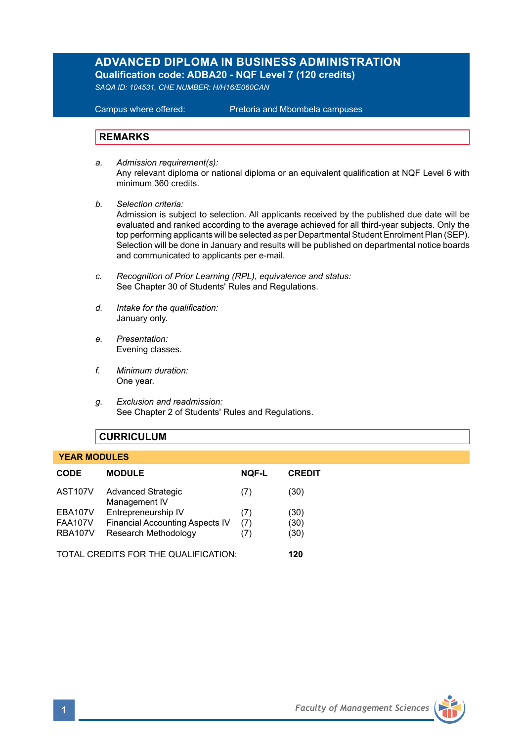# **ADVANCED DIPLOMA IN BUSINESS ADMINISTRATION**

**Qualification code: ADBA20 - NQF Level 7 (120 credits)** 

*SAQA ID: 104531, CHE NUMBER: H/H16/E060CAN* 

**Campus where offered:** 

Pretoria and Mbombela campuses

#### **REMARKS**

- *a. Admission requirement(s):*  Any relevant diploma or national diploma or an equivalent qualification at NQF Level 6 with minimum 360 credits.
- *b. Selection criteria:*

Admission is subject to selection. All applicants received by the published due date will be evaluated and ranked according to the average achieved for all third-year subjects. Only the top performing applicants will be selected as per Departmental Student Enrolment Plan (SEP). Selection will be done in January and results will be published on departmental notice boards and communicated to applicants per e-mail.

- *c. Recognition of Prior Learning (RPL), equivalence and status:* See Chapter 30 of Students' Rules and Regulations.
- *d. Intake for the qualification:* January only.
- *e. Presentation:* Evening classes.
- *f. Minimum duration:* One year.
- *g. Exclusion and readmission:* See Chapter 2 of Students' Rules and Regulations.

# **CURRICULUM**

#### **YEAR MODULES**

| CODE                                 | <b>MODULE</b>                              | <b>NOF-L</b> | <b>CREDIT</b> |
|--------------------------------------|--------------------------------------------|--------------|---------------|
| AST <sub>107</sub> V                 | <b>Advanced Strategic</b><br>Management IV | (7)          | (30)          |
| <b>EBA107V</b>                       | Entrepreneurship IV                        | (7)          | (30)          |
| <b>FAA107V</b>                       | <b>Financial Accounting Aspects IV</b>     | (7)          | (30)          |
| <b>RBA107V</b>                       | Research Methodology                       | (7)          | (30)          |
| TOTAL CREDITS FOR THE QUALIFICATION: |                                            |              | 120           |